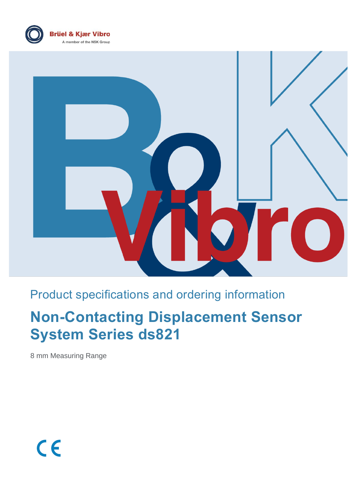



# Product specifications and ordering information

# **Non-Contacting Displacement Sensor System Series ds821**

8 mm Measuring Range

 $c\epsilon$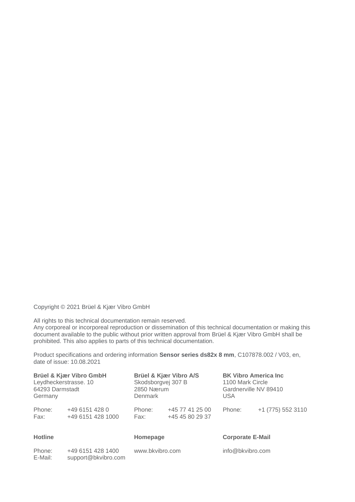Copyright © 2021 Brüel & Kjær Vibro GmbH

All rights to this technical documentation remain reserved.

Any corporeal or incorporeal reproduction or dissemination of this technical documentation or making this document available to the public without prior written approval from Brüel & Kjær Vibro GmbH shall be prohibited. This also applies to parts of this technical documentation.

Product specifications and ordering information **Sensor series ds82x 8 mm**, C107878.002 / V03, en, date of issue: 10.08.2021

| Brüel & Kjær Vibro GmbH<br>Leydheckerstrasse. 10<br>64293 Darmstadt<br>Germany |                                     | Denmark        | Brüel & Kjær Vibro A/S<br>Skodsborgvej 307 B<br>2850 Nærum |                         | <b>BK Vibro America Inc.</b><br>1100 Mark Circle<br>Gardnerville NV 89410<br><b>USA</b> |  |
|--------------------------------------------------------------------------------|-------------------------------------|----------------|------------------------------------------------------------|-------------------------|-----------------------------------------------------------------------------------------|--|
| Phone:<br>Fax:                                                                 | +49 6151 428 0<br>+49 6151 428 1000 | Phone:<br>Fax: | +45 77 41 25 00<br>+45 45 80 29 37                         | Phone:                  | +1 (775) 552 3110                                                                       |  |
| <b>Hotline</b>                                                                 |                                     | Homepage       |                                                            | <b>Corporate E-Mail</b> |                                                                                         |  |

| Phone:  | +49 6151 428 1400   | www.bkvibro.com | info@bkvibro.com |
|---------|---------------------|-----------------|------------------|
| E-Mail: | support@bkvibro.com |                 |                  |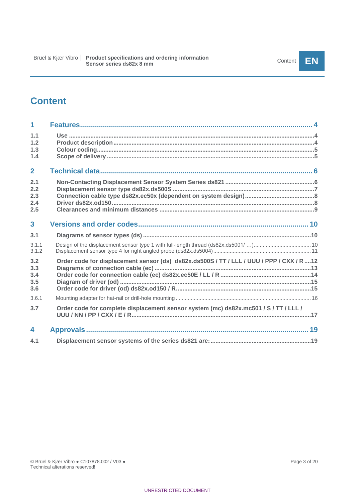# **Content**

| 1                               |                                                                                          |
|---------------------------------|------------------------------------------------------------------------------------------|
| 1.1<br>1.2<br>1.3<br>1.4        |                                                                                          |
| $\overline{2}$                  |                                                                                          |
| 2.1<br>2.2<br>2.3<br>2.4<br>2.5 |                                                                                          |
| $\overline{3}$                  |                                                                                          |
| 3.1                             |                                                                                          |
| 3.1.1<br>3.1.2                  |                                                                                          |
| 3.2<br>3.3<br>3.4<br>3.5<br>3.6 | Order code for displacement sensor (ds) ds82x.ds500S / TT / LLL / UUU / PPP / CXX / R 12 |
| 3.6.1                           |                                                                                          |
| 3.7                             | Order code for complete displacement sensor system (mc) ds82x.mc501 / S / TT / LLL /     |
| 4                               |                                                                                          |
| 4.1                             |                                                                                          |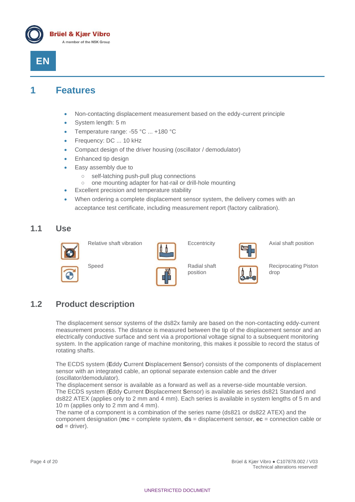



# <span id="page-3-0"></span>**1 Features**

- Non-contacting displacement measurement based on the eddy-current principle
- System length: 5 m
- Temperature range: -55 °C ... +180 °C
- Frequency: DC ... 10 kHz
- Compact design of the driver housing (oscillator / demodulator)
- Enhanced tip design
- Easy assembly due to
	- self-latching push-pull plug connections
	- one mounting adapter for hat-rail or drill-hole mounting
- Excellent precision and temperature stability
- When ordering a complete displacement sensor system, the delivery comes with an acceptance test certificate, including measurement report (factory calibration).

### <span id="page-3-1"></span>**1.1 Use**





position



Relative shaft vibration **Eccentricity** Eccentricity **Axial shaft position** 

Reciprocating Piston drop

### <span id="page-3-2"></span>**1.2 Product description**

The displacement sensor systems of the ds82x family are based on the non-contacting eddy-current measurement process. The distance is measured between the tip of the displacement sensor and an electrically conductive surface and sent via a proportional voltage signal to a subsequent monitoring system. In the application range of machine monitoring, this makes it possible to record the status of rotating shafts.

The ECDS system (**E**ddy **C**urrent **D**isplacement **S**ensor) consists of the components of displacement sensor with an integrated cable, an optional separate extension cable and the driver (oscillator/demodulator).

The displacement sensor is available as a forward as well as a reverse-side mountable version. The ECDS system (**E**ddy **C**urrent **D**isplacement **S**ensor) is available as series ds821 Standard and ds822 ATEX (applies only to 2 mm and 4 mm). Each series is available in system lengths of 5 m and 10 m (applies only to 2 mm and 4 mm).

The name of a component is a combination of the series name (ds821 or ds822 ATEX) and the component designation (**mc** = complete system, **ds** = displacement sensor, **ec** = connection cable or  $od =$  driver).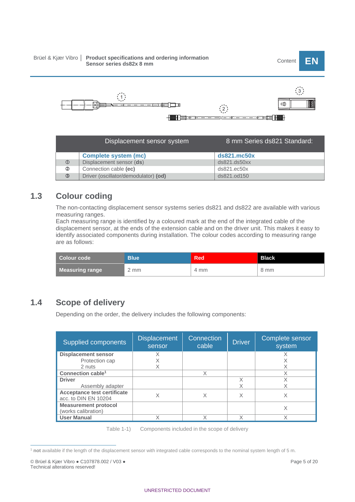# Brüel & Kjær Vibro │ P**roduct specifications and ordering information**<br>Sensor series ds82x 8 mm



| Displacement sensor system |                                      | 8 mm Series ds821 Standard: |  |
|----------------------------|--------------------------------------|-----------------------------|--|
|                            | <b>Complete system (mc)</b>          | $ds821$ .mc50 $x$           |  |
| $\circledcirc$             | Displacement sensor (ds)             | ds821.ds50xx                |  |
| 2                          | Connection cable (ec)                | ds821.ec50x                 |  |
| ③                          | Driver (oscillator/demodulator) (od) | ds821.od150                 |  |

# <span id="page-4-0"></span>**1.3 Colour coding**

The non-contacting displacement sensor systems series ds821 and ds822 are available with various measuring ranges.

Each measuring range is identified by a coloured mark at the end of the integrated cable of the displacement sensor, at the ends of the extension cable and on the driver unit. This makes it easy to identify associated components during installation. The colour codes according to measuring range are as follows:

| Colour code            | <b>Blue</b> | <b>Red</b> | <b>Black</b> |
|------------------------|-------------|------------|--------------|
| <b>Measuring range</b> | 2 mm        | 4 mm       | 8 mm         |

# <span id="page-4-1"></span>**1.4 Scope of delivery**

Depending on the order, the delivery includes the following components:

| Supplied components                                        | <b>Displacement</b><br>sensor | Connection<br>cable | <b>Driver</b> | Complete sensor<br>system |
|------------------------------------------------------------|-------------------------------|---------------------|---------------|---------------------------|
| <b>Displacement sensor</b><br>Protection cap               | X                             |                     |               | X                         |
| 2 nuts<br>Connection cable <sup>1</sup>                    |                               | X                   |               | X<br>X                    |
| <b>Driver</b><br>Assembly adapter                          |                               |                     |               | Χ                         |
| <b>Acceptance test certificate</b><br>acc. to DIN EN 10204 | X                             | X                   |               | Χ                         |
| <b>Measurement protocol</b><br>(works calibration)         |                               |                     |               | X                         |
| <b>User Manual</b>                                         |                               | Χ                   |               | Χ                         |

Table 1-1) Components included in the scope of delivery

<sup>1</sup> **not** available if the length of the displacement sensor with integrated cable corresponds to the nominal system length of 5 m.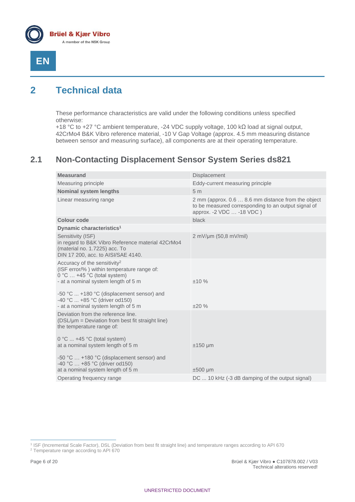



# <span id="page-5-0"></span>**2 Technical data**

These performance characteristics are valid under the following conditions unless specified otherwise:

+18 °C to +27 °C ambient temperature, -24 VDC supply voltage, 100 kΩ load at signal output, 42CrMo4 B&K Vibro reference material, -10 V Gap Voltage (approx. 4.5 mm measuring distance between sensor and measuring surface), all components are at their operating temperature.

# <span id="page-5-1"></span>**2.1 Non-Contacting Displacement Sensor System Series ds821**

| <b>Measurand</b>                                                                                                                                                                                                                                                                           | Displacement                                                                                                                           |
|--------------------------------------------------------------------------------------------------------------------------------------------------------------------------------------------------------------------------------------------------------------------------------------------|----------------------------------------------------------------------------------------------------------------------------------------|
| Measuring principle                                                                                                                                                                                                                                                                        | Eddy-current measuring principle                                                                                                       |
| <b>Nominal system lengths</b>                                                                                                                                                                                                                                                              | 5 <sub>m</sub>                                                                                                                         |
| Linear measuring range                                                                                                                                                                                                                                                                     | 2 mm (approx. 0.6  8.6 mm distance from the object<br>to be measured corresponding to an output signal of<br>approx. -2 VDC  -18 VDC ) |
| <b>Colour code</b>                                                                                                                                                                                                                                                                         | black                                                                                                                                  |
| Dynamic characteristics <sup>1</sup>                                                                                                                                                                                                                                                       |                                                                                                                                        |
| Sensitivity (ISF)<br>in regard to B&K Vibro Reference material 42CrMo4<br>(material no. 1.7225) acc. To<br>DIN 17 200, acc. to AISI/SAE 4140.                                                                                                                                              | $2 \text{ mV/µm} (50,8 \text{ mV/ml})$                                                                                                 |
| Accuracy of the sensitivity <sup>2</sup><br>(ISF error/%) within temperature range of:<br>$0^{\circ}$ C  +45 °C (total system)<br>- at a nominal system length of 5 m<br>-50 °C  +180 °C (displacement sensor) and<br>-40 °C  +85 °C (driver od150)<br>- at a nominal system length of 5 m | ±10%<br>±20%                                                                                                                           |
| Deviation from the reference line.<br>(DSL/µm = Deviation from best fit straight line)<br>the temperature range of:                                                                                                                                                                        |                                                                                                                                        |
| $0^{\circ}$ C  +45 °C (total system)<br>at a nominal system length of 5 m<br>-50 °C  +180 °C (displacement sensor) and<br>-40 °C  +85 °C (driver od150)<br>at a nominal system length of 5 m                                                                                               | $±150 \mu m$<br>$±500 \mu m$                                                                                                           |
| Operating frequency range                                                                                                                                                                                                                                                                  | DC  10 kHz (-3 dB damping of the output signal)                                                                                        |

<sup>1</sup> ISF (Incremental Scale Factor), DSL (Deviation from best fit straight line) and temperature ranges according to API 670

<sup>2</sup> Temperature range according to API 670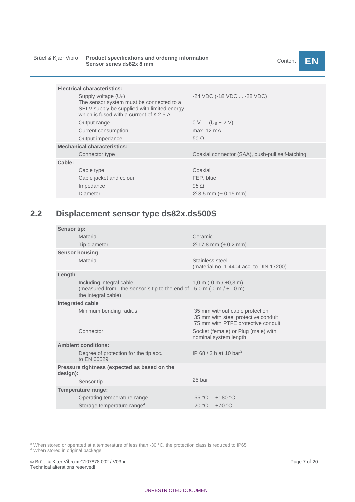# Brüel & Kjær Vibro │ P**roduct specifications and ordering information**<br>Sensor series ds82x 8 mm

| <b>Electrical characteristics:</b>                                                                                                                                             |                                                  |
|--------------------------------------------------------------------------------------------------------------------------------------------------------------------------------|--------------------------------------------------|
| Supply voltage (U <sub>B</sub> )<br>The sensor system must be connected to a<br>SELV supply be supplied with limited energy.<br>which is fused with a current of $\leq 2.5$ A. | -24 VDC (-18 VDC  -28 VDC)                       |
| Output range                                                                                                                                                                   | $0 \vee  (U_B + 2 V)$                            |
| Current consumption                                                                                                                                                            | max. 12 mA                                       |
| Output impedance                                                                                                                                                               | 50 $\Omega$                                      |
| <b>Mechanical characteristics:</b>                                                                                                                                             |                                                  |
| Connector type                                                                                                                                                                 | Coaxial connector (SAA), push-pull self-latching |
| Cable:                                                                                                                                                                         |                                                  |
| Cable type                                                                                                                                                                     | Coaxial                                          |
| Cable jacket and colour                                                                                                                                                        | FEP, blue                                        |
| Impedance                                                                                                                                                                      | $95\Omega$                                       |
| Diameter                                                                                                                                                                       | $\varnothing$ 3.5 mm ( $\pm$ 0.15 mm)            |

# <span id="page-6-0"></span>**2.2 Displacement sensor type ds82x.ds500S**

| Sensor tip:                                                                                                              |                                                                                                             |
|--------------------------------------------------------------------------------------------------------------------------|-------------------------------------------------------------------------------------------------------------|
| Material                                                                                                                 | Ceramic                                                                                                     |
| Tip diameter                                                                                                             | $\varnothing$ 17,8 mm ( $\pm$ 0.2 mm)                                                                       |
| <b>Sensor housing</b>                                                                                                    |                                                                                                             |
| Material                                                                                                                 | Stainless steel<br>(material no. 1.4404 acc. to DIN 17200)                                                  |
| Length                                                                                                                   |                                                                                                             |
| Including integral cable<br>(measured from the sensor's tip to the end of $5,0$ m (-0 m / +1,0 m)<br>the integral cable) | $1,0 \text{ m } (-0 \text{ m } / +0,3 \text{ m})$                                                           |
| Integrated cable                                                                                                         |                                                                                                             |
| Minimum bending radius                                                                                                   | 35 mm without cable protection<br>35 mm with steel protective conduit<br>75 mm with PTFE protective conduit |
| Connector                                                                                                                | Socket (female) or Plug (male) with<br>nominal system length                                                |
| <b>Ambient conditions:</b>                                                                                               |                                                                                                             |
| Degree of protection for the tip acc.<br>to FN 60529                                                                     | IP 68 / 2 h at 10 bar <sup>3</sup>                                                                          |
| Pressure tightness (expected as based on the<br>design):                                                                 |                                                                                                             |
| Sensor tip                                                                                                               | 25 bar                                                                                                      |
| Temperature range:                                                                                                       |                                                                                                             |
| Operating temperature range                                                                                              | $-55 °C  +180 °C$                                                                                           |
| Storage temperature range <sup>4</sup>                                                                                   | $-20 °C  +70 °C$                                                                                            |

<sup>3</sup> When stored or operated at a temperature of less than -30  $^{\circ}$ C, the protection class is reduced to IP65

<sup>4</sup> When stored in original package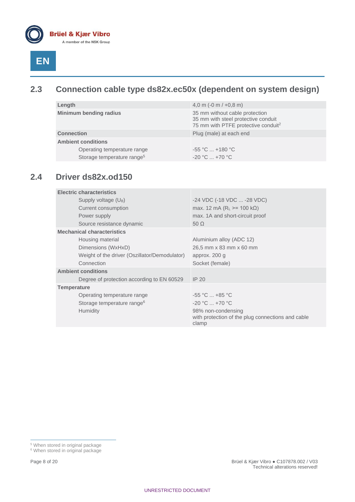

# <span id="page-7-0"></span>**2.3 Connection cable type ds82x.ec50x (dependent on system design)**

| Length                                 | 4,0 m $(-0 \text{ m} / +0.8 \text{ m})$                                                                                  |  |
|----------------------------------------|--------------------------------------------------------------------------------------------------------------------------|--|
| <b>Minimum bending radius</b>          | 35 mm without cable protection<br>35 mm with steel protective conduit<br>75 mm with PTFE protective conduit <sup>2</sup> |  |
| <b>Connection</b>                      | Plug (male) at each end                                                                                                  |  |
| <b>Ambient conditions</b>              |                                                                                                                          |  |
| Operating temperature range            | $-55 °C  +180 °C$                                                                                                        |  |
| Storage temperature range <sup>5</sup> | $-20 °C  +70 °C$                                                                                                         |  |

# <span id="page-7-1"></span>**2.4 Driver ds82x.od150**

| <b>Electric characteristics</b>               |                                                                                  |
|-----------------------------------------------|----------------------------------------------------------------------------------|
| Supply voltage $(U_B)$                        | -24 VDC (-18 VDC  -28 VDC)                                                       |
| Current consumption                           | max. 12 mA ( $R_L$ >= 100 k $\Omega$ )                                           |
| Power supply                                  | max. 1A and short-circuit proof                                                  |
| Source resistance dynamic                     | $50 \Omega$                                                                      |
| <b>Mechanical characteristics</b>             |                                                                                  |
| Housing material                              | Aluminium alloy (ADC 12)                                                         |
| Dimensions (WxHxD)                            | 26,5 mm x 83 mm x 60 mm                                                          |
| Weight of the driver (Oszillator/Demodulator) | approx. 200 g                                                                    |
| Connection                                    | Socket (female)                                                                  |
| <b>Ambient conditions</b>                     |                                                                                  |
| Degree of protection according to EN 60529    | IP <sub>20</sub>                                                                 |
| <b>Temperature</b>                            |                                                                                  |
| Operating temperature range                   | $-55$ °C $ +85$ °C                                                               |
| Storage temperature range <sup>6</sup>        | $-20$ °C $ + 70$ °C                                                              |
| <b>Humidity</b>                               | 98% non-condensing<br>with protection of the plug connections and cable<br>clamp |

<sup>&</sup>lt;sup>5</sup> When stored in original package

<sup>&</sup>lt;sup>6</sup> When stored in original package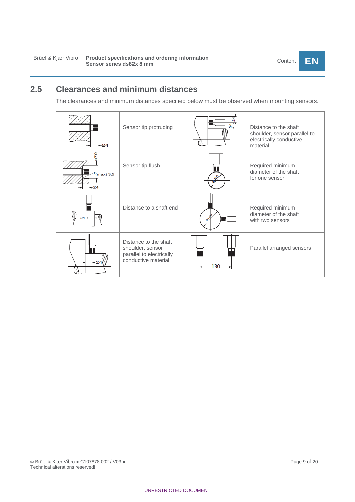# <span id="page-8-0"></span>**2.5 Clearances and minimum distances**

The clearances and minimum distances specified below must be observed when mounting sensors.

| $-24$                  | Sensor tip protruding                                                                        | $\overline{24}$ | Distance to the shaft<br>shoulder, sensor parallel to<br>electrically conductive<br>material |
|------------------------|----------------------------------------------------------------------------------------------|-----------------|----------------------------------------------------------------------------------------------|
| $r$ (max) 3,5<br>$+24$ | Sensor tip flush                                                                             |                 | Required minimum<br>diameter of the shaft<br>for one sensor                                  |
| $24 -$                 | Distance to a shaft end                                                                      |                 | Required minimum<br>diameter of the shaft<br>with two sensors                                |
| $-24$                  | Distance to the shaft<br>shoulder, sensor<br>parallel to electrically<br>conductive material | 130             | Parallel arranged sensors                                                                    |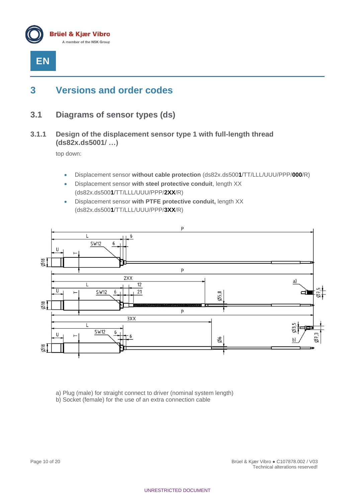

# <span id="page-9-0"></span>**3 Versions and order codes**

- <span id="page-9-2"></span><span id="page-9-1"></span>**3.1 Diagrams of sensor types (ds)**
- **3.1.1 Design of the displacement sensor type 1 with full-length thread (ds82x.ds5001/ …)**

top down:

- Displacement sensor **without cable protection** (ds82x.ds500**1**/TT/LLL/UUU/PPP/**000**/R)
- Displacement sensor **with steel protective conduit**, length XX (ds82x.ds500**1**/TT/LLL/UUU/PPP/**2XX**/R)
- Displacement sensor **with PTFE protective conduit,** length XX (ds82x.ds500**1**/TT/LLL/UUU/PPP/**3XX**/R)



a) Plug (male) for straight connect to driver (nominal system length)

b) Socket (female) for the use of an extra connection cable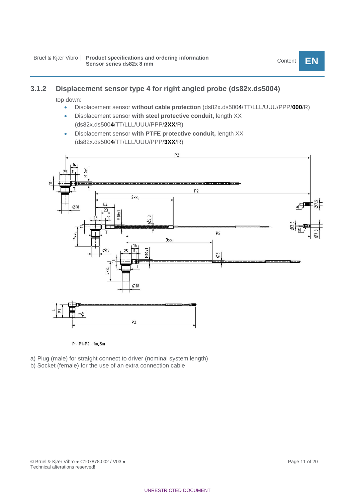### <span id="page-10-0"></span>**3.1.2 Displacement sensor type 4 for right angled probe (ds82x.ds5004)**

top down:

- Displacement sensor **without cable protection** (ds82x.ds500**4**/TT/LLL/UUU/PPP/**000**/R)
- Displacement sensor **with steel protective conduit,** length XX (ds82x.ds500**4**/TT/LLL/UUU/PPP/**2XX**/R)
- Displacement sensor **with PTFE protective conduit,** length XX (ds82x.ds500**4**/TT/LLL/UUU/PPP/**3XX**/R)



 $P = P1+P2 = 1m, 5m$ 

- a) Plug (male) for straight connect to driver (nominal system length)
- b) Socket (female) for the use of an extra connection cable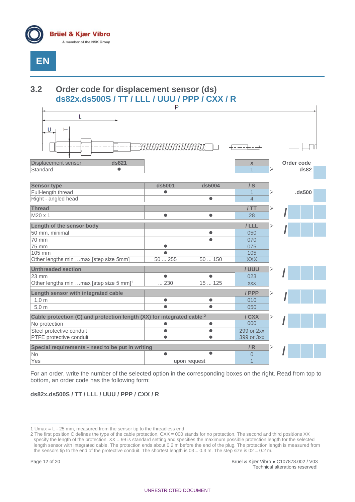

# <span id="page-11-0"></span>**3.2 Order code for displacement sensor (ds) ds82x.ds500S / TT / LLL / UUU / PPP / CXX / R**



For an order, write the number of the selected option in the corresponding boxes on the right. Read from top to bottom, an order code has the following form:

### **ds82x.ds500S / TT / LLL / UUU / PPP / CXX / R**

<sup>1</sup> Umax = L - 25 mm, measured from the sensor tip to the threadless end

<sup>2</sup> The first position C defines the type of the cable protection, CXX = 000 stands for no protection. The second and third positions XX specify the length of the protection. XX = 99 is standard setting and specifies the maximum possible protection length for the selected length sensor with integrated cable. The protection ends about 0.2 m before the end of the plug. The protection length is measured from the sensors tip to the end of the protective conduit. The shortest length is  $03 = 0.3$  m. The step size is  $02 = 0.2$  m.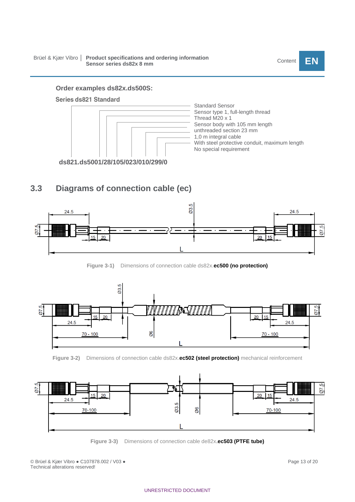#### **Order examples ds82x.ds500S:**

#### **Series ds821 Standard**



### <span id="page-12-0"></span>**3.3 Diagrams of connection cable (ec)**







**Figure 3-2)** Dimensions of connection cable ds82x.**ec502 (steel protection)** mechanical reinforcement



**Figure 3-3)** Dimensions of connection cable de82x.**ec503 (PTFE tube)**

© Brüel & Kjær Vibro ● C107878.002 / V03 ● Page 13 of 20 Technical alterations reserved!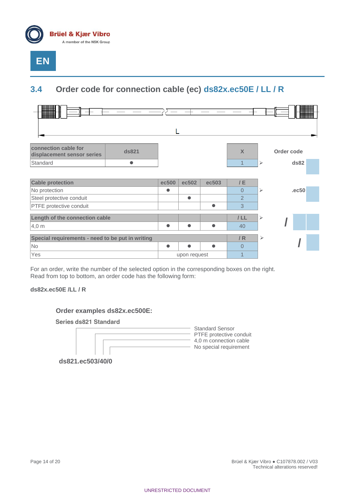

# <span id="page-13-0"></span>**3.4 Order code for connection cable (ec) ds82x.ec50E / LL / R**



For an order, write the number of the selected option in the corresponding boxes on the right. Read from top to bottom, an order code has the following form:

**ds82x.ec50E /LL / R**

**Order examples ds82x.ec500E:**

**Series ds821 Standard** 



Standard Sensor PTFE protective conduit 4,0 m connection cable - No special requirement

**ds821.ec503/40/0**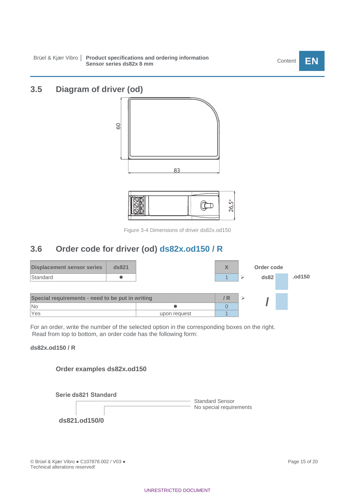# <span id="page-14-0"></span>**3.5 Diagram of driver (od)**



Figure 3-4 Dimensions of driver ds82x.od150

## <span id="page-14-1"></span>**3.6 Order code for driver (od) ds82x.od150 / R**

| <b>Displacement sensor series</b>                | ds821 |              | X   | Order code |        |
|--------------------------------------------------|-------|--------------|-----|------------|--------|
| Standard                                         |       |              |     | ds82       | .od150 |
|                                                  |       |              |     |            |        |
| Special requirements - need to be put in writing |       |              | / R |            |        |
| No                                               |       |              |     |            |        |
| Yes                                              |       | upon request |     |            |        |

For an order, write the number of the selected option in the corresponding boxes on the right. Read from top to bottom, an order code has the following form:

### **ds82x.od150 / R**



**Order examples ds82x.od150**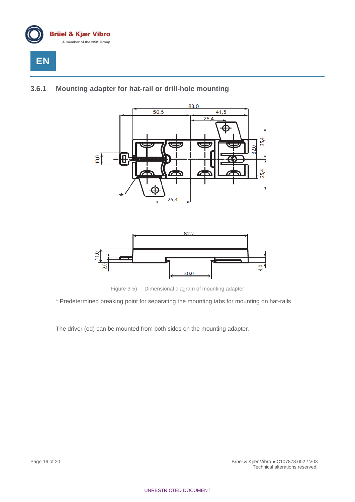

### <span id="page-15-0"></span>**3.6.1 Mounting adapter for hat-rail or drill-hole mounting**





Figure 3-5) Dimensional diagram of mounting adapter

\* Predetermined breaking point for separating the mounting tabs for mounting on hat-rails

The driver (od) can be mounted from both sides on the mounting adapter.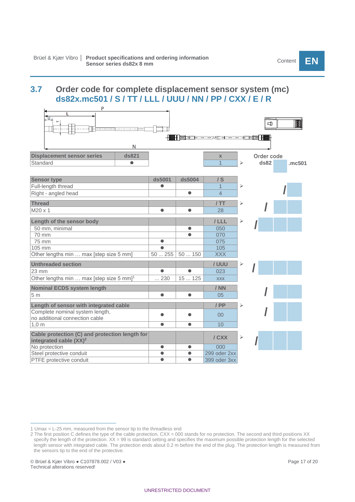# <span id="page-16-0"></span>**3.7 Order code for complete displacement sensor system (mc) ds82x.mc501 / S / TT / LLL / UUU / NN / PP / CXX / E / R**

| P                                                                           |             |           |                                             |   |            |        |
|-----------------------------------------------------------------------------|-------------|-----------|---------------------------------------------|---|------------|--------|
| ᡃ᠋ᡉ                                                                         |             |           |                                             |   | ආ          |        |
| N                                                                           |             |           | <del>│█▌</del> ▉▆ <del>▅▗▖▃▗</del> ▖▃▗▅▖▄▖▃ |   |            |        |
| ds821<br><b>Displacement sensor series</b>                                  |             |           | $\mathbf{x}$                                |   | Order code |        |
| Standard<br>$\bullet$                                                       |             |           | $\overline{1}$                              | ⋗ | ds82       | .mc501 |
|                                                                             |             |           |                                             |   |            |        |
| <b>Sensor type</b>                                                          | ds5001      | ds5004    | $/$ S                                       |   |            |        |
| Full-length thread                                                          | $\bullet$   |           | $\mathbf{1}$                                | ⋗ |            |        |
| Right - angled head                                                         |             | $\bullet$ | $\overline{4}$                              |   |            |        |
| <b>Thread</b>                                                               |             |           | /TT                                         | ⋗ |            |        |
| $M20 \times 1$                                                              | $\bullet$   | $\bullet$ | 28                                          |   |            |        |
| Length of the sensor body                                                   |             |           | $/$ LLL                                     | ⋗ |            |        |
| 50 mm, minimal                                                              |             | $\bullet$ | 050                                         |   |            |        |
| 70 mm                                                                       |             | $\bullet$ | 070                                         |   |            |        |
| 75 mm                                                                       | $\bullet$   |           | 075                                         |   |            |        |
| 105 mm                                                                      | $\bullet$   |           | 105                                         |   |            |        |
| Other lengths min  max [step size 5 mm]                                     | 50255       | 50150     | <b>XXX</b>                                  |   |            |        |
| <b>Unthreaded section</b>                                                   |             |           | / UUU                                       | ➤ |            |        |
| $23 \, \text{mm}$                                                           | $\bullet$   | $\bullet$ | 023                                         |   |            |        |
| Other lengths min  max [step size 5 mm] <sup>1</sup>                        | $\dots 230$ | 15125     | <b>XXX</b>                                  |   |            |        |
| <b>Nominal ECDS system length</b>                                           |             |           | / NN                                        |   |            |        |
| 5 <sub>m</sub>                                                              | $\bullet$   | $\bullet$ | 05                                          |   |            |        |
| Length of sensor with integrated cable                                      |             |           | / PP                                        | ⋗ |            |        |
| Complete nominal system length,                                             |             |           | 0 <sup>0</sup>                              |   |            |        |
| no additional connection cable                                              |             |           |                                             |   |            |        |
| $1,0 \text{ m}$                                                             | $\bullet$   | $\bullet$ | 10                                          |   |            |        |
| Cable protection (C) and protection length for<br>integrated cable $(XX)^2$ |             |           | / CXX                                       | ⋗ |            |        |
| No protection                                                               | $\bullet$   | $\bullet$ | 000                                         |   |            |        |
| Steel protective conduit                                                    | $\bullet$   | $\bullet$ | 299 oder 2xx                                |   |            |        |
| PTFE protective conduit                                                     | $\bullet$   | $\bullet$ | 399 oder 3xx                                |   |            |        |

<sup>1</sup> Umax = L-25 mm, measured from the sensor tip to the threadless end

<sup>2</sup> The first position C defines the type of the cable protection, CXX = 000 stands for no protection. The second and third positions XX specify the length of the protection. XX = 99 is standard setting and specifies the maximum possible protection length for the selected length sensor with integrated cable. The protection ends about 0.2 m before the end of the plug. The protection length is measured from the sensors tip to the end of the protective.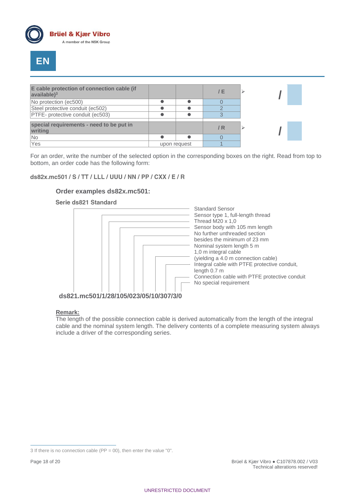



| E cable protection of connection cable (if<br>$\vert$ available $\rangle$ <sup>3</sup> |              | / E |  |
|----------------------------------------------------------------------------------------|--------------|-----|--|
| No protection (ec500)                                                                  |              |     |  |
| Steel protective conduit (ec502)                                                       |              |     |  |
| PTFE- protective conduit (ec503)                                                       |              |     |  |
| special requirements - need to be put in<br>writing                                    |              | / R |  |
| No                                                                                     |              |     |  |
| Yes                                                                                    | upon request |     |  |

For an order, write the number of the selected option in the corresponding boxes on the right. Read from top to bottom, an order code has the following form:

### ds82x.mc501 / S / TT / LLL / UUU / NN / PP / CXX / E / R

### **Order examples ds82x.mc501:**

#### Serie ds821 Standard



#### **Remark:**

The length of the possible connection cable is derived automatically from the length of the integral cable and the nominal system length. The delivery contents of a complete measuring system always include a driver of the corresponding series.

<sup>3</sup> If there is no connection cable ( $PP = 00$ ), then enter the value "0".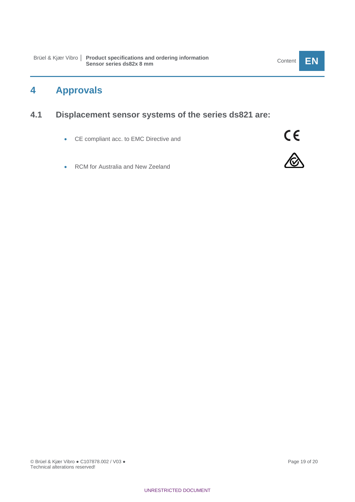# <span id="page-18-0"></span>**4 Approvals**

# <span id="page-18-1"></span>**4.1 Displacement sensor systems of the series ds821 are:**

- CE compliant acc. to EMC Directive and
- RCM for Australia and New Zeeland